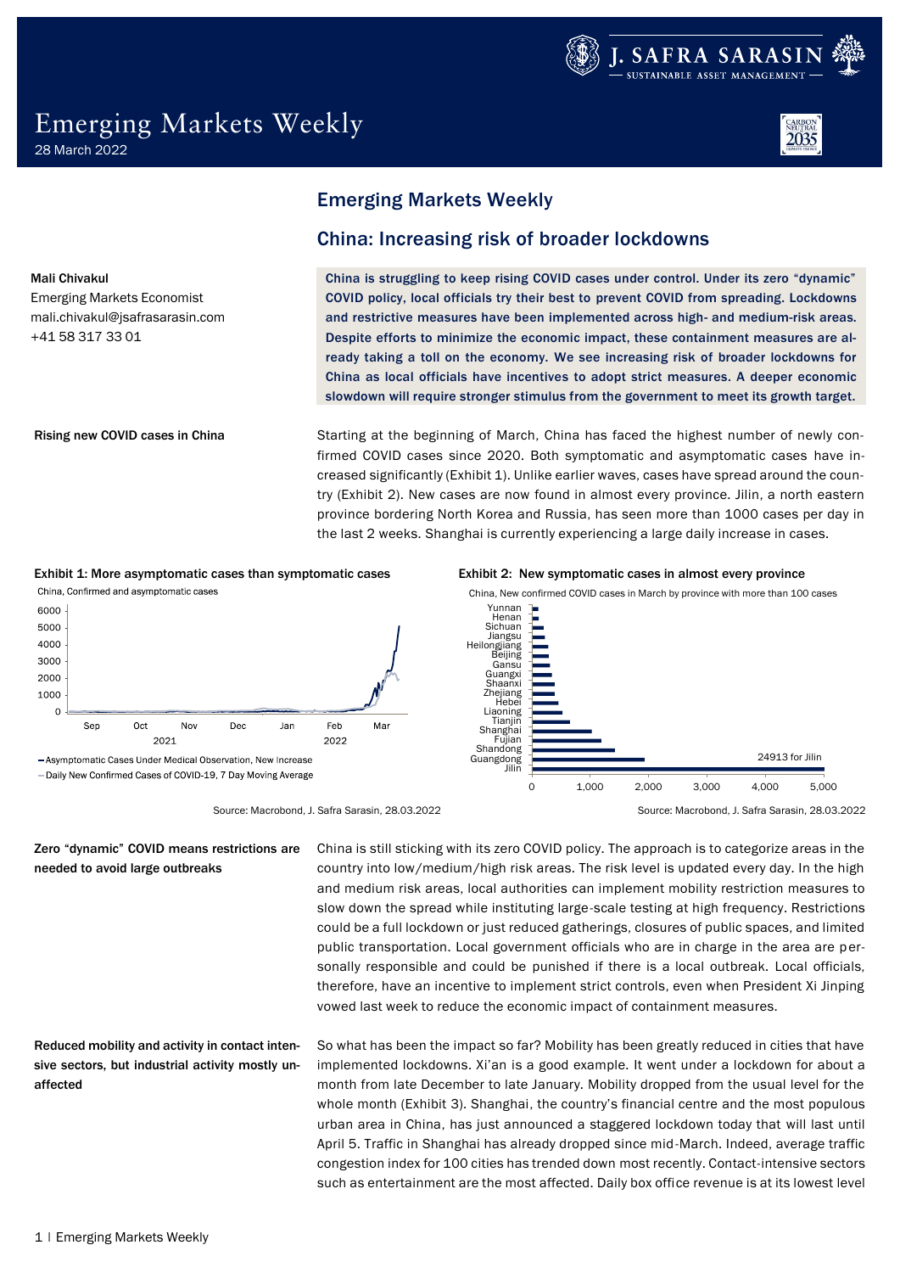



Mali Chivakul Emerging Markets Economist [mali.chivakul@jsafrasarasin.com](mailto:mali.chivakul@jsafrasarasin.com)

+41 58 317 33 01

#### Rising new COVID cases in China

## Emerging Markets Weekly

## China: Increasing risk of broader lockdowns

China is struggling to keep rising COVID cases under control. Under its zero "dynamic" COVID policy, local officials try their best to prevent COVID from spreading. Lockdowns and restrictive measures have been implemented across high- and medium-risk areas. Despite efforts to minimize the economic impact, these containment measures are already taking a toll on the economy. We see increasing risk of broader lockdowns for China as local officials have incentives to adopt strict measures. A deeper economic slowdown will require stronger stimulus from the government to meet its growth target.

Starting at the beginning of March, China has faced the highest number of newly confirmed COVID cases since 2020. Both symptomatic and asymptomatic cases have increased significantly (Exhibit 1). Unlike earlier waves, cases have spread around the country (Exhibit 2). New cases are now found in almost every province. Jilin, a north eastern province bordering North Korea and Russia, has seen more than 1000 cases per day in the last 2 weeks. Shanghai is currently experiencing a large daily increase in cases.



Source: Macrobond, J. Safra Sarasin, 28.03.2022 Source: Macrobond, J. Safra Sarasin, 28.03.2022

## Zero "dynamic" COVID means restrictions are needed to avoid large outbreaks

Reduced mobility and activity in contact intensive sectors, but industrial activity mostly unaffected

China is still sticking with its zero COVID policy. The approach is to categorize areas in the country into low/medium/high risk areas. The risk level is updated every day. In the high and medium risk areas, local authorities can implement mobility restriction measures to slow down the spread while instituting large-scale testing at high frequency. Restrictions could be a full lockdown or just reduced gatherings, closures of public spaces, and limited public transportation. Local government officials who are in charge in the area are personally responsible and could be punished if there is a local outbreak. Local officials, therefore, have an incentive to implement strict controls, even when President Xi Jinping vowed last week to reduce the economic impact of containment measures.

So what has been the impact so far? Mobility has been greatly reduced in cities that have implemented lockdowns. Xi'an is a good example. It went under a lockdown for about a month from late December to late January. Mobility dropped from the usual level for the whole month (Exhibit 3). Shanghai, the country's financial centre and the most populous urban area in China, has just announced a staggered lockdown today that will last until April 5. Traffic in Shanghai has already dropped since mid-March. Indeed, average traffic congestion index for 100 cities has trended down most recently. Contact-intensive sectors such as entertainment are the most affected. Daily box office revenue is at its lowest level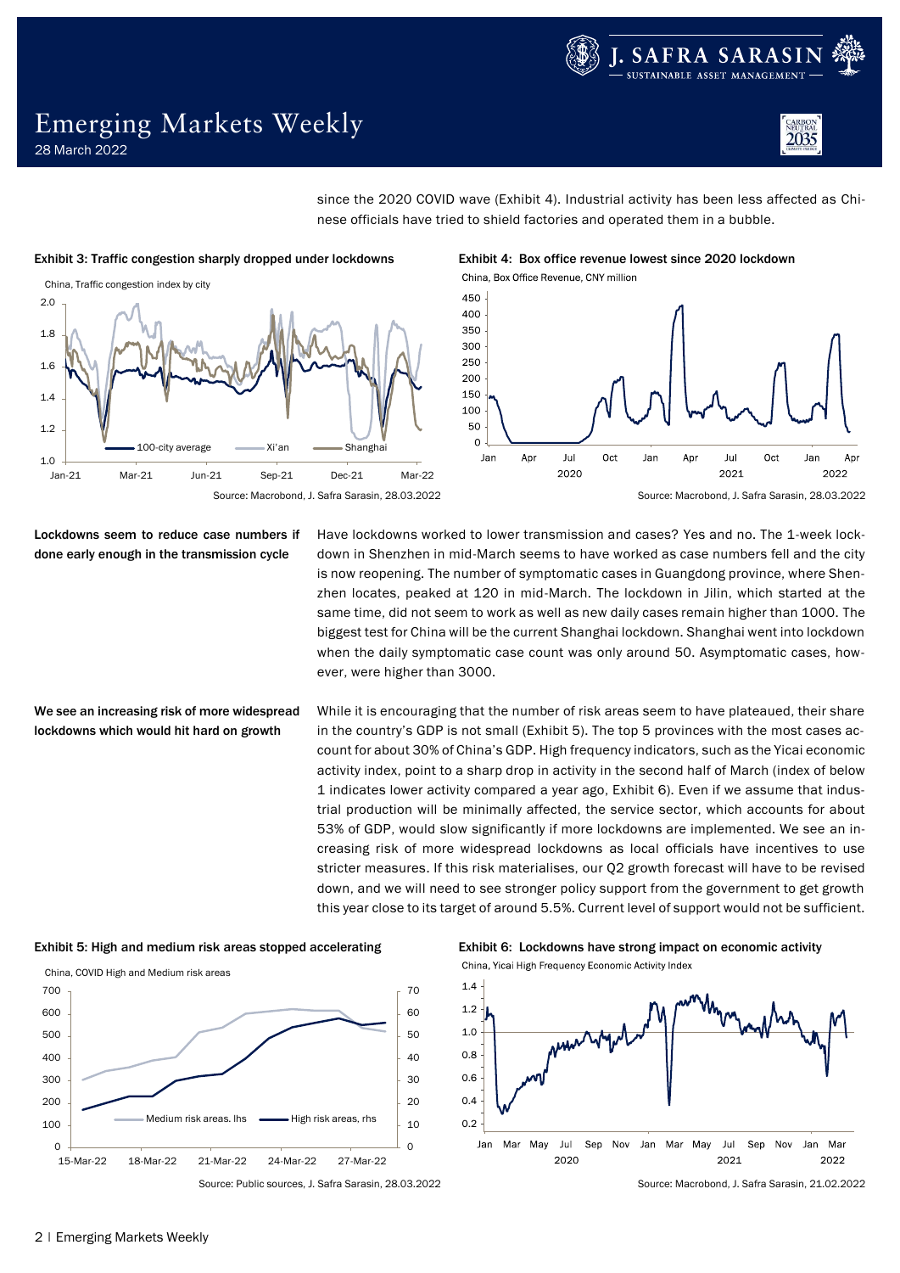



since the 2020 COVID wave (Exhibit 4). Industrial activity has been less affected as Chinese officials have tried to shield factories and operated them in a bubble.



Exhibit 3: Traffic congestion sharply dropped under lockdowns Exhibit 4: Box office revenue lowest since 2020 lockdown China, Box Office Revenue, CNY million



Lockdowns seem to reduce case numbers if done early enough in the transmission cycle

We see an increasing risk of more widespread lockdowns which would hit hard on growth

Have lockdowns worked to lower transmission and cases? Yes and no. The 1-week lockdown in Shenzhen in mid-March seems to have worked as case numbers fell and the city is now reopening. The number of symptomatic cases in Guangdong province, where Shenzhen locates, peaked at 120 in mid-March. The lockdown in Jilin, which started at the same time, did not seem to work as well as new daily cases remain higher than 1000. The biggest test for China will be the current Shanghai lockdown. Shanghai went into lockdown when the daily symptomatic case count was only around 50. Asymptomatic cases, however, were higher than 3000.

While it is encouraging that the number of risk areas seem to have plateaued, their share in the country's GDP is not small (Exhibit 5). The top 5 provinces with the most cases account for about 30% of China's GDP. High frequency indicators, such as the Yicai economic activity index, point to a sharp drop in activity in the second half of March (index of below 1 indicates lower activity compared a year ago, Exhibit 6). Even if we assume that industrial production will be minimally affected, the service sector, which accounts for about 53% of GDP, would slow significantly if more lockdowns are implemented. We see an increasing risk of more widespread lockdowns as local officials have incentives to use stricter measures. If this risk materialises, our Q2 growth forecast will have to be revised down, and we will need to see stronger policy support from the government to get growth this year close to its target of around 5.5%. Current level of support would not be sufficient.





Exhibit 5: High and medium risk areas stopped accelerating Exhibit 6: Lockdowns have strong impact on economic activity China, Yicai High Frequency Economic Activity Index



Source: Public sources, J. Safra Sarasin, 28.03.2022 Source: Macrobond, J. Safra Sarasin, 21.02.2022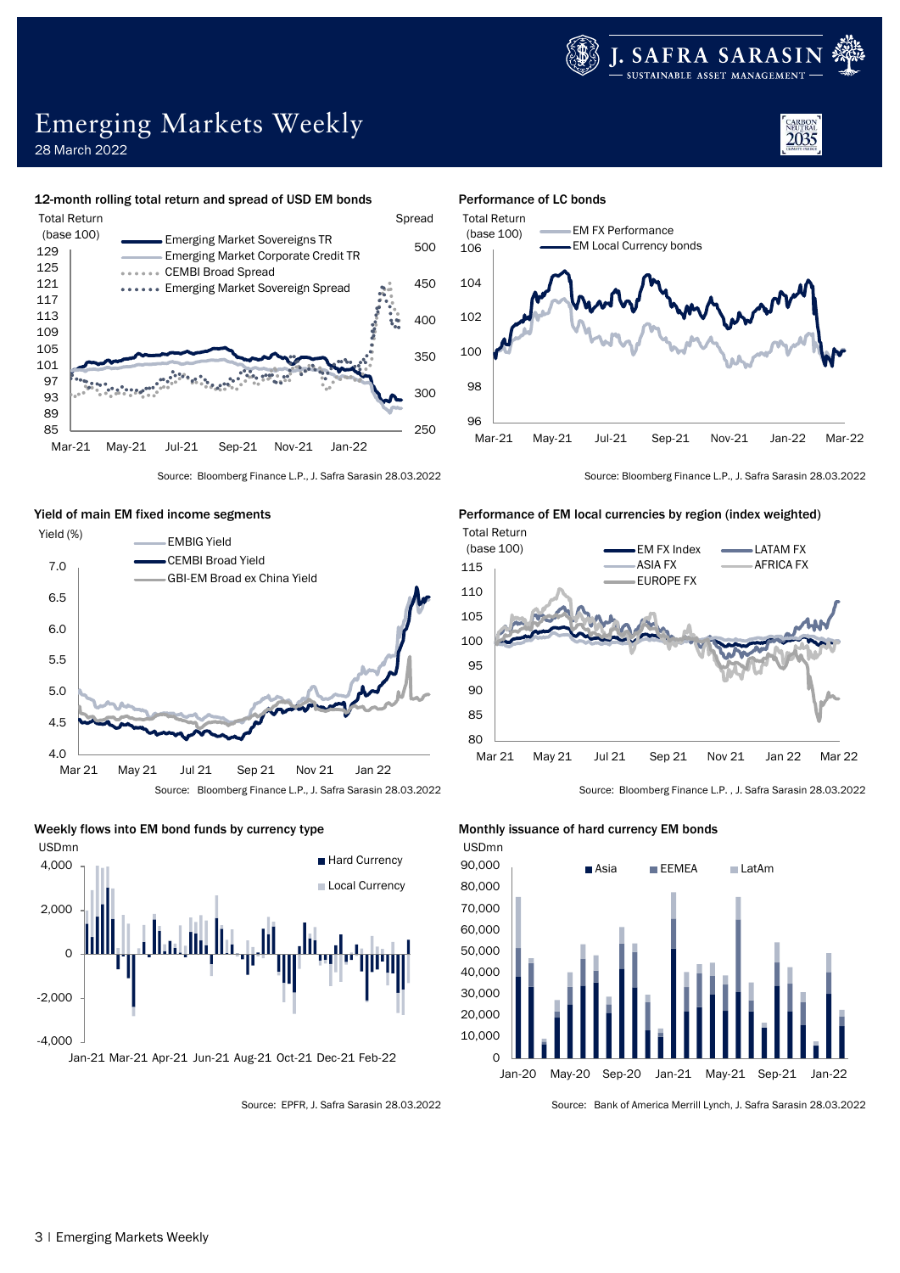

2035

# Emerging Markets Weekly

28 March 2022

#### 12-month rolling total return and spread of USD EM bonds Performance of LC bonds











Source: Bloomberg Finance L.P., J. Safra Sarasin 28.03.2022 Source: Bloomberg Finance L.P., J. Safra Sarasin 28.03.2022

## Yield of main EM fixed income segments Performance of EM local currencies by region (index weighted)





Source: EPFR, J. Safra Sarasin 28.03.2022 Source: Bank of America Merrill Lynch, J. Safra Sarasin 28.03.2022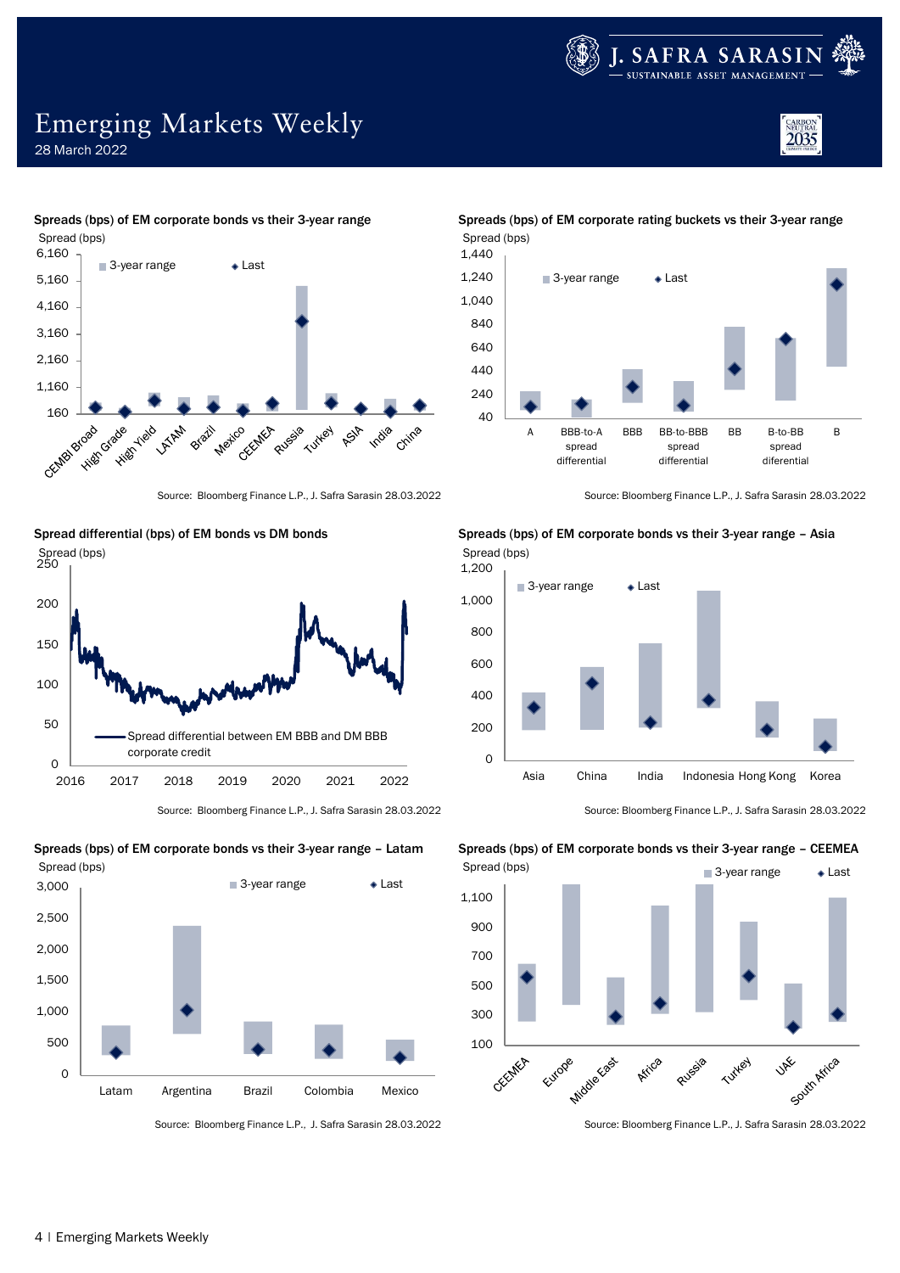

CARBON<br>NEUTRAL<br>2035

# Emerging Markets Weekly

28 March 2022











Spreads (bps) of EM corporate bonds vs their 3-year range – Latam Spreads (bps) of EM corporate bonds vs their 3-year range – CEEMEA

Source: Bloomberg Finance L.P., J. Safra Sarasin 28.03.2022 Source: Bloomberg Finance L.P., J. Safra Sarasin 28.03.2022

Spreads (bps) of EM corporate bonds vs their 3-year range Spreads (bps) of EM corporate rating buckets vs their 3-year range Spread (bps)



Source: Bloomberg Finance L.P., J. Safra Sarasin 28.03.2022 Source: Bloomberg Finance L.P., J. Safra Sarasin 28.03.2022



Source: Bloomberg Finance L.P., J. Safra Sarasin 28.03.2022 Source: Bloomberg Finance L.P., J. Safra Sarasin 28.03.2022

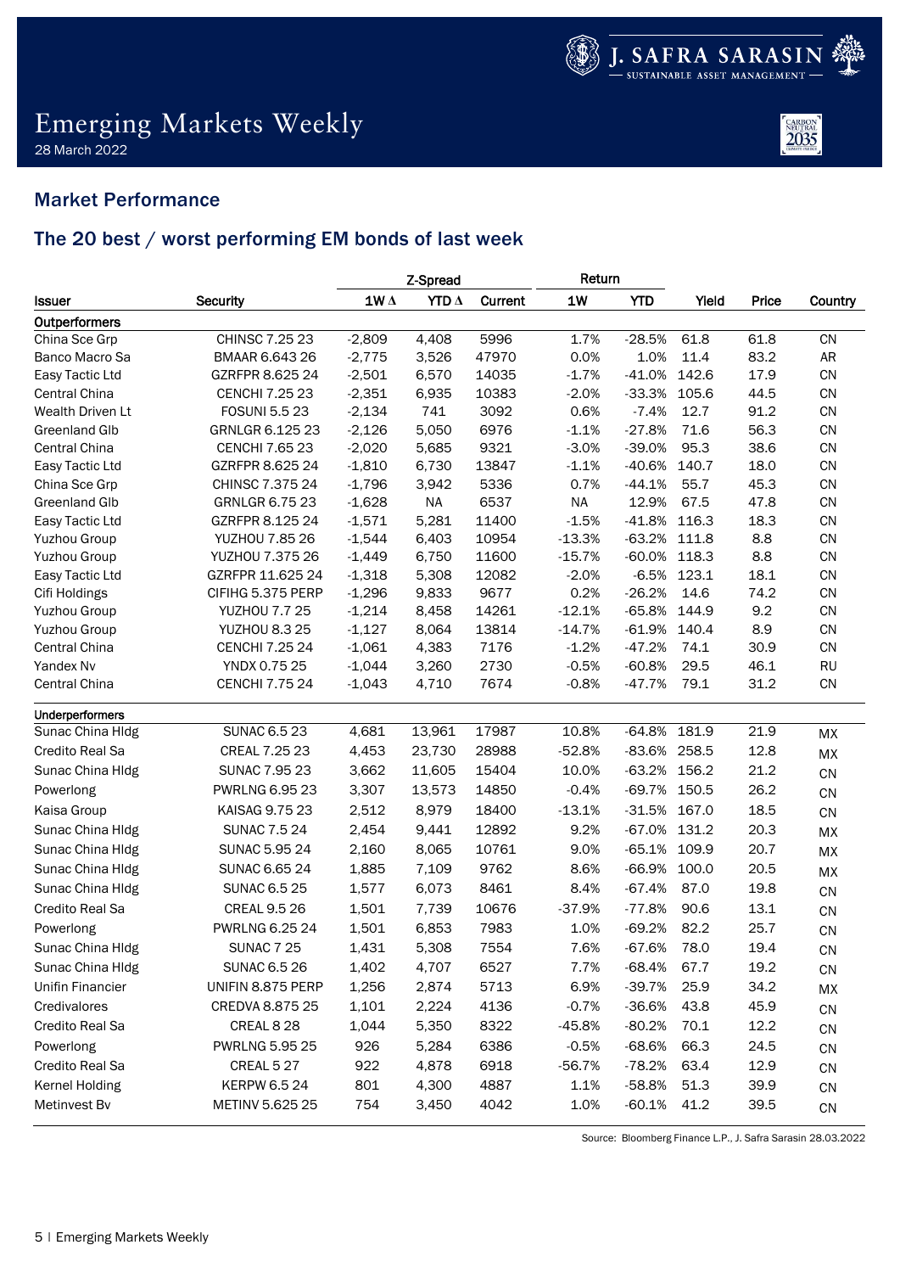

## Emerging Markets Weekly 28 March 2022



## Market Performance

## The 20 best / worst performing EM bonds of last week

|                         |                       | Z-Spread                       |              |         | Return    |              |       |       |            |
|-------------------------|-----------------------|--------------------------------|--------------|---------|-----------|--------------|-------|-------|------------|
| <b>Issuer</b>           | <b>Security</b>       | $\mathbf{1}\mathbf{W}\,\Delta$ | YTD $\Delta$ | Current | <b>1W</b> | <b>YTD</b>   | Yield | Price | Country    |
| Outperformers           |                       |                                |              |         |           |              |       |       |            |
| China Sce Grp           | CHINSC 7.25 23        | $-2,809$                       | 4,408        | 5996    | 1.7%      | $-28.5%$     | 61.8  | 61.8  | <b>CN</b>  |
| Banco Macro Sa          | BMAAR 6.643 26        | $-2,775$                       | 3,526        | 47970   | 0.0%      | 1.0%         | 11.4  | 83.2  | AR         |
| Easy Tactic Ltd         | GZRFPR 8.625 24       | $-2,501$                       | 6,570        | 14035   | $-1.7%$   | $-41.0%$     | 142.6 | 17.9  | CN         |
| <b>Central China</b>    | <b>CENCHI 7.25 23</b> | $-2,351$                       | 6,935        | 10383   | $-2.0%$   | $-33.3%$     | 105.6 | 44.5  | CN         |
| Wealth Driven Lt        | <b>FOSUNI 5.5 23</b>  | $-2,134$                       | 741          | 3092    | 0.6%      | $-7.4%$      | 12.7  | 91.2  | CN         |
| Greenland Glb           | GRNLGR 6.125 23       | $-2,126$                       | 5,050        | 6976    | $-1.1%$   | $-27.8%$     | 71.6  | 56.3  | CN         |
| <b>Central China</b>    | <b>CENCHI 7.65 23</b> | $-2,020$                       | 5,685        | 9321    | $-3.0%$   | $-39.0%$     | 95.3  | 38.6  | CN         |
| Easy Tactic Ltd         | GZRFPR 8.625 24       | $-1,810$                       | 6,730        | 13847   | $-1.1%$   | $-40.6%$     | 140.7 | 18.0  | CN         |
| China Sce Grp           | CHINSC 7.375 24       | $-1,796$                       | 3,942        | 5336    | 0.7%      | $-44.1%$     | 55.7  | 45.3  | CN         |
| <b>Greenland Glb</b>    | <b>GRNLGR 6.75 23</b> | $-1,628$                       | <b>NA</b>    | 6537    | <b>NA</b> | 12.9%        | 67.5  | 47.8  | CN         |
| Easy Tactic Ltd         | GZRFPR 8.125 24       | $-1,571$                       | 5,281        | 11400   | $-1.5%$   | $-41.8%$     | 116.3 | 18.3  | CN         |
| <b>Yuzhou Group</b>     | YUZHOU 7.85 26        | $-1,544$                       | 6,403        | 10954   | $-13.3%$  | $-63.2%$     | 111.8 | 8.8   | CN         |
| <b>Yuzhou Group</b>     | YUZHOU 7.375 26       | $-1,449$                       | 6,750        | 11600   | $-15.7%$  | $-60.0%$     | 118.3 | 8.8   | CN         |
| Easy Tactic Ltd         | GZRFPR 11.625 24      | $-1,318$                       | 5,308        | 12082   | $-2.0%$   | $-6.5%$      | 123.1 | 18.1  | CN         |
| Cifi Holdings           | CIFIHG 5.375 PERP     | $-1,296$                       | 9,833        | 9677    | 0.2%      | $-26.2%$     | 14.6  | 74.2  | CN         |
| Yuzhou Group            | <b>YUZHOU 7.7 25</b>  | $-1,214$                       | 8,458        | 14261   | $-12.1%$  | $-65.8%$     | 144.9 | 9.2   | CN         |
| Yuzhou Group            | <b>YUZHOU 8.3 25</b>  | $-1,127$                       | 8,064        | 13814   | $-14.7%$  | $-61.9%$     | 140.4 | 8.9   | CN         |
| <b>Central China</b>    | <b>CENCHI 7.25 24</b> | $-1,061$                       | 4,383        | 7176    | $-1.2%$   | $-47.2%$     | 74.1  | 30.9  | CN         |
| Yandex Nv               | YNDX 0.75 25          | $-1,044$                       | 3,260        | 2730    | $-0.5%$   | $-60.8%$     | 29.5  | 46.1  | <b>RU</b>  |
| Central China           | <b>CENCHI 7.75 24</b> | $-1,043$                       | 4,710        | 7674    | $-0.8%$   | $-47.7%$     | 79.1  | 31.2  | CN         |
| Underperformers         |                       |                                |              |         |           |              |       |       |            |
| Sunac China Hldg        | <b>SUNAC 6.5 23</b>   | 4,681                          | 13,961       | 17987   | 10.8%     | $-64.8%$     | 181.9 | 21.9  | МX         |
| Credito Real Sa         | CREAL 7.25 23         | 4,453                          | 23,730       | 28988   | $-52.8%$  | -83.6% 258.5 |       | 12.8  | MX         |
| Sunac China Hldg        | <b>SUNAC 7.95 23</b>  | 3,662                          | 11,605       | 15404   | 10.0%     | -63.2% 156.2 |       | 21.2  | CN         |
| Powerlong               | <b>PWRLNG 6.95 23</b> | 3,307                          | 13,573       | 14850   | $-0.4%$   | -69.7% 150.5 |       | 26.2  | CN         |
| Kaisa Group             | KAISAG 9.75 23        | 2,512                          | 8,979        | 18400   | $-13.1%$  | $-31.5%$     | 167.0 | 18.5  | ${\sf CN}$ |
| Sunac China Hldg        | <b>SUNAC 7.5 24</b>   | 2,454                          | 9,441        | 12892   | 9.2%      | $-67.0%$     | 131.2 | 20.3  | MX         |
| Sunac China Hldg        | <b>SUNAC 5.95 24</b>  | 2,160                          | 8,065        | 10761   | 9.0%      | $-65.1%$     | 109.9 | 20.7  | MX         |
| Sunac China Hldg        | <b>SUNAC 6.65 24</b>  | 1,885                          | 7,109        | 9762    | 8.6%      | $-66.9%$     | 100.0 | 20.5  | MX         |
| Sunac China Hldg        | <b>SUNAC 6.5 25</b>   | 1,577                          | 6,073        | 8461    | 8.4%      | $-67.4%$     | 87.0  | 19.8  | CN         |
| Credito Real Sa         | <b>CREAL 9.5 26</b>   | 1,501                          | 7,739        | 10676   | $-37.9%$  | $-77.8%$     | 90.6  | 13.1  | CN         |
| Powerlong               | PWRLNG 6.25 24        | 1,501                          | 6,853        | 7983    | 1.0%      | $-69.2%$     | 82.2  | 25.7  | CN         |
| Sunac China Hldg        | <b>SUNAC 7 25</b>     | 1,431                          | 5,308        | 7554    | 7.6%      | $-67.6%$     | 78.0  | 19.4  | CN         |
| Sunac China HIdg        | <b>SUNAC 6.5 26</b>   | 1,402                          | 4,707        | 6527    | 7.7%      | $-68.4%$     | 67.7  | 19.2  | CN         |
| <b>Unifin Financier</b> | UNIFIN 8.875 PERP     | 1,256                          | 2,874        | 5713    | 6.9%      | $-39.7%$     | 25.9  | 34.2  | MX         |
| Credivalores            | CREDVA 8.875 25       | 1,101                          | 2,224        | 4136    | $-0.7%$   | $-36.6%$     | 43.8  | 45.9  | CN         |
| Credito Real Sa         | CREAL 8 28            | 1,044                          | 5,350        | 8322    | -45.8%    | $-80.2%$     | 70.1  | 12.2  |            |
| Powerlong               | <b>PWRLNG 5.95 25</b> | 926                            | 5,284        | 6386    | $-0.5%$   | $-68.6%$     | 66.3  | 24.5  | CN         |
|                         |                       |                                |              |         |           |              |       |       | CN         |
| Credito Real Sa         | CREAL 5 27            | 922                            | 4,878        | 6918    | $-56.7%$  | $-78.2%$     | 63.4  | 12.9  | CN         |
| Kernel Holding          | <b>KERPW 6.5 24</b>   | 801                            | 4,300        | 4887    | 1.1%      | $-58.8%$     | 51.3  | 39.9  | CN         |
| Metinvest Bv            | METINV 5.625 25       | 754                            | 3,450        | 4042    | 1.0%      | $-60.1%$     | 41.2  | 39.5  | ${\sf CN}$ |

Source: Bloomberg Finance L.P., J. Safra Sarasin 28.03.2022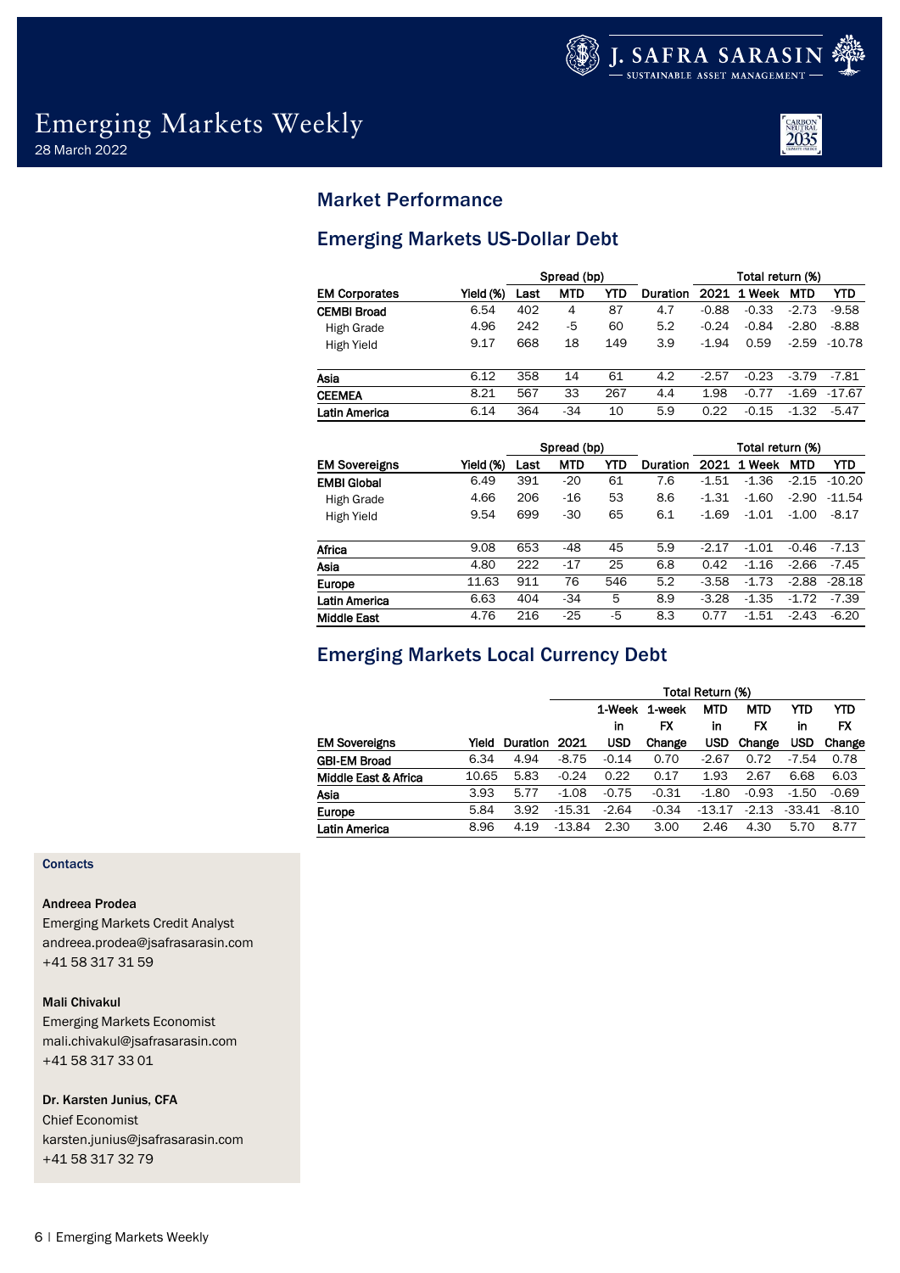

## Emerging Markets Weekly 28 March 2022



## Market Performance

## Emerging Markets US-Dollar Debt

|                      |           |      | Spread (bp) |     |          | Total return (%) |         |            |          |
|----------------------|-----------|------|-------------|-----|----------|------------------|---------|------------|----------|
| <b>EM Corporates</b> | Yield (%) | Last | <b>MTD</b>  | YTD | Duration | 2021             | 1 Week  | <b>MTD</b> | YTD      |
| <b>CEMBI Broad</b>   | 6.54      | 402  | 4           | 87  | 4.7      | $-0.88$          | $-0.33$ | $-2.73$    | $-9.58$  |
| High Grade           | 4.96      | 242  | -5          | 60  | 5.2      | $-0.24$          | $-0.84$ | $-2.80$    | $-8.88$  |
| High Yield           | 9.17      | 668  | 18          | 149 | 3.9      | $-1.94$          | 0.59    | $-2.59$    | $-10.78$ |
| Asia                 | 6.12      | 358  | 14          | 61  | 4.2      | $-2.57$          | $-0.23$ | $-3.79$    | -7.81    |
| <b>CEEMEA</b>        | 8.21      | 567  | 33          | 267 | 4.4      | 1.98             | $-0.77$ | $-1.69$    | $-17.67$ |
| Latin America        | 6.14      | 364  | $-34$       | 10  | 5.9      | 0.22             | $-0.15$ | $-1.32$    | $-5.47$  |

|                      |           |      | Spread (bp) |     |          | Total return (%) |            |            |          |
|----------------------|-----------|------|-------------|-----|----------|------------------|------------|------------|----------|
| <b>EM Sovereigns</b> | Yield (%) | Last | <b>MTD</b>  | YTD | Duration | 2021             | Week<br>1. | <b>MTD</b> | YTD      |
| <b>EMBI Global</b>   | 6.49      | 391  | $-20$       | 61  | 7.6      | $-1.51$          | $-1.36$    | $-2.15$    | $-10.20$ |
| High Grade           | 4.66      | 206  | $-16$       | 53  | 8.6      | $-1.31$          | $-1.60$    | $-2.90$    | $-11.54$ |
| High Yield           | 9.54      | 699  | $-30$       | 65  | 6.1      | $-1.69$          | $-1.01$    | $-1.00$    | $-8.17$  |
| Africa               | 9.08      | 653  | $-48$       | 45  | 5.9      | $-2.17$          | $-1.01$    | $-0.46$    | $-7.13$  |
| Asia                 | 4.80      | 222  | $-17$       | 25  | 6.8      | 0.42             | $-1.16$    | $-2.66$    | $-7.45$  |
| Europe               | 11.63     | 911  | 76          | 546 | 5.2      | $-3.58$          | $-1.73$    | $-2.88$    | $-28.18$ |
| Latin America        | 6.63      | 404  | $-34$       | 5   | 8.9      | $-3.28$          | $-1.35$    | $-1.72$    | $-7.39$  |
| <b>Middle East</b>   | 4.76      | 216  | $-25$       | -5  | 8.3      | 0.77             | $-1.51$    | $-2.43$    | $-6.20$  |

## Emerging Markets Local Currency Debt

|                      |       |                 | Total Return (%) |            |         |            |            |            |         |  |
|----------------------|-------|-----------------|------------------|------------|---------|------------|------------|------------|---------|--|
|                      |       |                 |                  | 1-Week     | 1-week  | <b>MTD</b> | <b>MTD</b> | YTD        | YTD     |  |
|                      |       |                 |                  | in         | FX      | in         | FX         | in         | FX      |  |
| <b>EM Sovereigns</b> | Yield | <b>Duration</b> | 2021             | <b>USD</b> | Change  | USD        | Change     | <b>USD</b> | Change  |  |
| <b>GBI-EM Broad</b>  | 6.34  | 4.94            | $-8.75$          | $-0.14$    | 0.70    | $-2.67$    | 0.72       | $-7.54$    | 0.78    |  |
| Middle East & Africa | 10.65 | 5.83            | $-0.24$          | 0.22       | 0.17    | 1.93       | 2.67       | 6.68       | 6.03    |  |
| Asia                 | 3.93  | 5.77            | $-1.08$          | $-0.75$    | $-0.31$ | $-1.80$    | $-0.93$    | $-1.50$    | $-0.69$ |  |
| <b>Europe</b>        | 5.84  | 3.92            | $-15.31$         | $-2.64$    | $-0.34$ | $-13.17$   | $-2.13$    | $-33.41$   | $-8.10$ |  |
| Latin America        | 8.96  | 4.19            | -13.84           | 2.30       | 3.00    | 2.46       | 4.30       | 5.70       | 8.77    |  |

## **Contacts**

## Andreea Prodea

Emerging Markets Credit Analyst andreea.prodea@jsafrasarasin.com +41 58 317 31 59

Mali Chivakul Emerging Markets Economist

mali.chivakul@jsafrasarasin.com +41 58 317 33 01

## Dr. Karsten Junius, CFA

Chief Economist karsten.junius@jsafrasarasin.com +41 58 317 32 79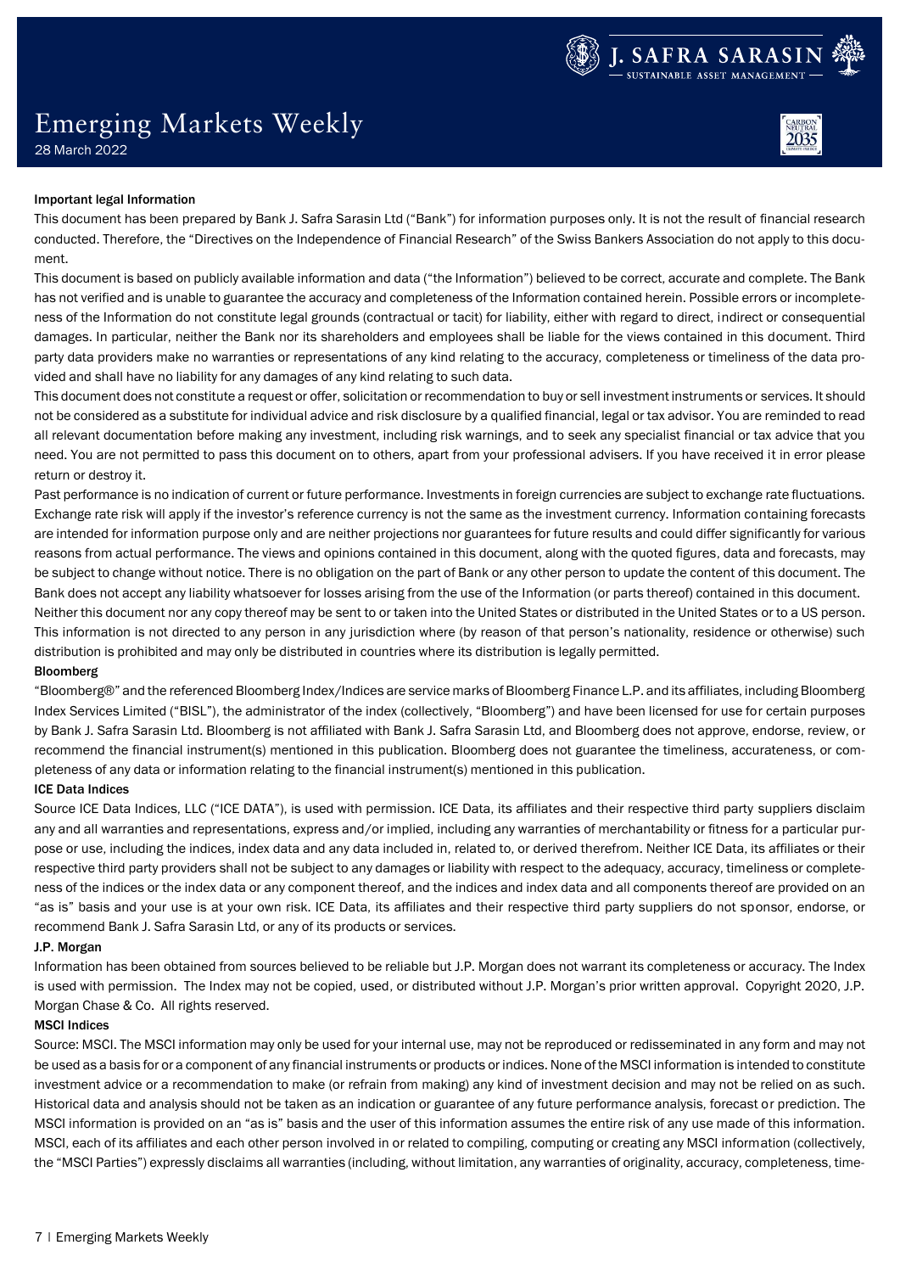

# Emerging Markets Weekly



28 March 2022

### Important legal Information

This document has been prepared by Bank J. Safra Sarasin Ltd ("Bank") for information purposes only. It is not the result of financial research conducted. Therefore, the "Directives on the Independence of Financial Research" of the Swiss Bankers Association do not apply to this document.

This document is based on publicly available information and data ("the Information") believed to be correct, accurate and complete. The Bank has not verified and is unable to guarantee the accuracy and completeness of the Information contained herein. Possible errors or incompleteness of the Information do not constitute legal grounds (contractual or tacit) for liability, either with regard to direct, indirect or consequential damages. In particular, neither the Bank nor its shareholders and employees shall be liable for the views contained in this document. Third party data providers make no warranties or representations of any kind relating to the accuracy, completeness or timeliness of the data provided and shall have no liability for any damages of any kind relating to such data.

This document does not constitute a request or offer, solicitation or recommendation to buy or sell investment instruments or services. It should not be considered as a substitute for individual advice and risk disclosure by a qualified financial, legal or tax advisor. You are reminded to read all relevant documentation before making any investment, including risk warnings, and to seek any specialist financial or tax advice that you need. You are not permitted to pass this document on to others, apart from your professional advisers. If you have received it in error please return or destroy it.

Past performance is no indication of current or future performance. Investments in foreign currencies are subject to exchange rate fluctuations. Exchange rate risk will apply if the investor's reference currency is not the same as the investment currency. Information containing forecasts are intended for information purpose only and are neither projections nor guarantees for future results and could differ significantly for various reasons from actual performance. The views and opinions contained in this document, along with the quoted figures, data and forecasts, may be subject to change without notice. There is no obligation on the part of Bank or any other person to update the content of this document. The Bank does not accept any liability whatsoever for losses arising from the use of the Information (or parts thereof) contained in this document. Neither this document nor any copy thereof may be sent to or taken into the United States or distributed in the United States or to a US person. This information is not directed to any person in any jurisdiction where (by reason of that person's nationality, residence or otherwise) such distribution is prohibited and may only be distributed in countries where its distribution is legally permitted.

### Bloomberg

"Bloomberg®" and the referenced Bloomberg Index/Indices are service marks of Bloomberg Finance L.P. and its affiliates, including Bloomberg Index Services Limited ("BISL"), the administrator of the index (collectively, "Bloomberg") and have been licensed for use for certain purposes by Bank J. Safra Sarasin Ltd. Bloomberg is not affiliated with Bank J. Safra Sarasin Ltd, and Bloomberg does not approve, endorse, review, or recommend the financial instrument(s) mentioned in this publication. Bloomberg does not guarantee the timeliness, accurateness, or completeness of any data or information relating to the financial instrument(s) mentioned in this publication.

### ICE Data Indices

Source ICE Data Indices, LLC ("ICE DATA"), is used with permission. ICE Data, its affiliates and their respective third party suppliers disclaim any and all warranties and representations, express and/or implied, including any warranties of merchantability or fitness for a particular purpose or use, including the indices, index data and any data included in, related to, or derived therefrom. Neither ICE Data, its affiliates or their respective third party providers shall not be subject to any damages or liability with respect to the adequacy, accuracy, timeliness or completeness of the indices or the index data or any component thereof, and the indices and index data and all components thereof are provided on an "as is" basis and your use is at your own risk. ICE Data, its affiliates and their respective third party suppliers do not sponsor, endorse, or recommend Bank J. Safra Sarasin Ltd, or any of its products or services.

### J.P. Morgan

Information has been obtained from sources believed to be reliable but J.P. Morgan does not warrant its completeness or accuracy. The Index is used with permission. The Index may not be copied, used, or distributed without J.P. Morgan's prior written approval. Copyright 2020, J.P. Morgan Chase & Co. All rights reserved.

### MSCI Indices

Source: MSCI. The MSCI information may only be used for your internal use, may not be reproduced or redisseminated in any form and may not be used as a basis for or a component of any financial instruments or products or indices. None of the MSCI information is intended to constitute investment advice or a recommendation to make (or refrain from making) any kind of investment decision and may not be relied on as such. Historical data and analysis should not be taken as an indication or guarantee of any future performance analysis, forecast or prediction. The MSCI information is provided on an "as is" basis and the user of this information assumes the entire risk of any use made of this information. MSCI, each of its affiliates and each other person involved in or related to compiling, computing or creating any MSCI information (collectively, the "MSCI Parties") expressly disclaims all warranties (including, without limitation, any warranties of originality, accuracy, completeness, time-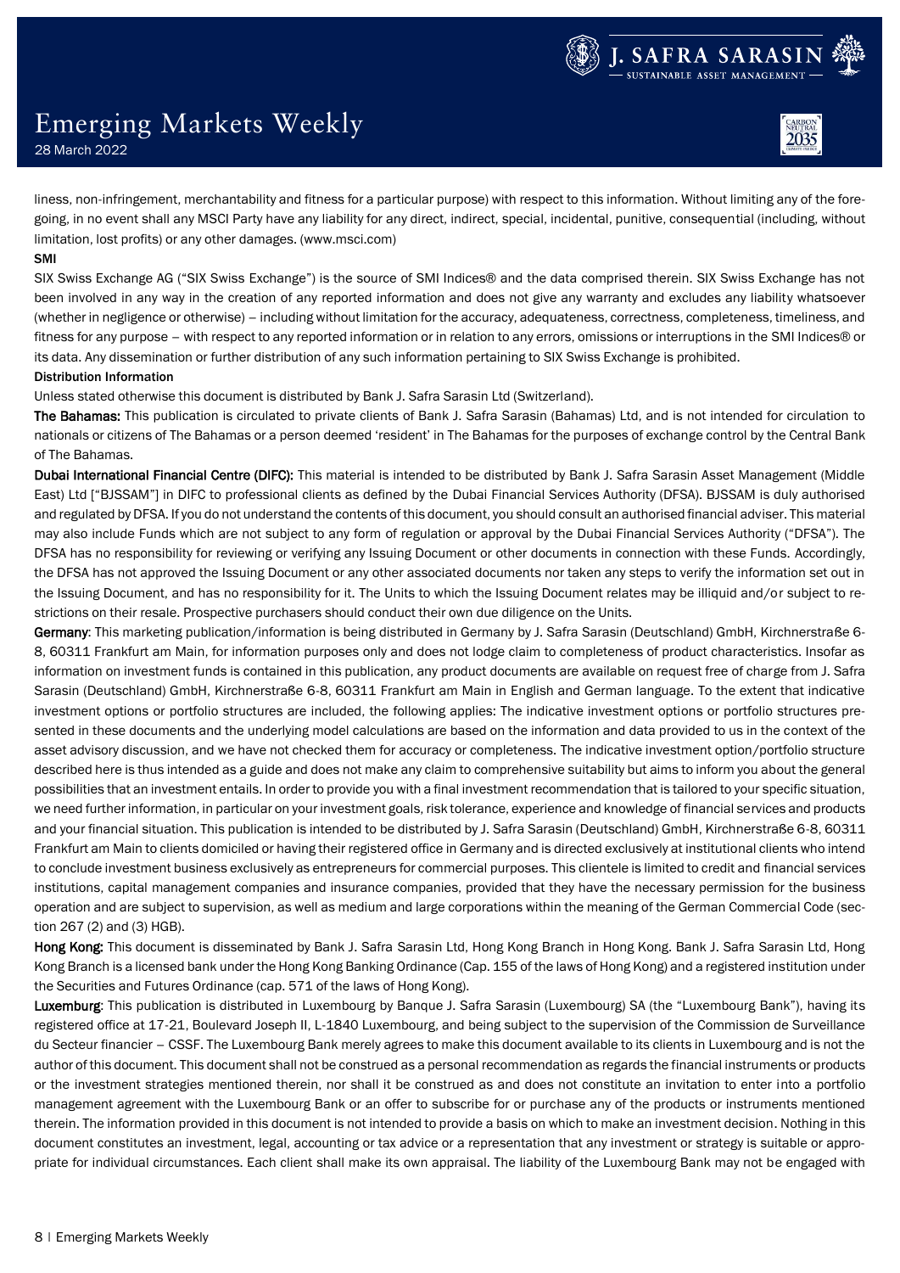# Emerging Markets Weekly

28 March 2022

liness, non-infringement, merchantability and fitness for a particular purpose) with respect to this information. Without limiting any of the foregoing, in no event shall any MSCI Party have any liability for any direct, indirect, special, incidental, punitive, consequential (including, without limitation, lost profits) or any other damages. (www.msci.com)

## SMI

SIX Swiss Exchange AG ("SIX Swiss Exchange") is the source of SMI Indices® and the data comprised therein. SIX Swiss Exchange has not been involved in any way in the creation of any reported information and does not give any warranty and excludes any liability whatsoever (whether in negligence or otherwise) – including without limitation for the accuracy, adequateness, correctness, completeness, timeliness, and fitness for any purpose – with respect to any reported information or in relation to any errors, omissions or interruptions in the SMI Indices® or its data. Any dissemination or further distribution of any such information pertaining to SIX Swiss Exchange is prohibited. Distribution Information

Unless stated otherwise this document is distributed by Bank J. Safra Sarasin Ltd (Switzerland).

The Bahamas: This publication is circulated to private clients of Bank J. Safra Sarasin (Bahamas) Ltd, and is not intended for circulation to nationals or citizens of The Bahamas or a person deemed 'resident' in The Bahamas for the purposes of exchange control by the Central Bank of The Bahamas.

Dubai International Financial Centre (DIFC): This material is intended to be distributed by Bank J. Safra Sarasin Asset Management (Middle East) Ltd ["BJSSAM"] in DIFC to professional clients as defined by the Dubai Financial Services Authority (DFSA). BJSSAM is duly authorised and regulated by DFSA. If you do not understand the contents of this document, you should consult an authorised financial adviser. This material may also include Funds which are not subject to any form of regulation or approval by the Dubai Financial Services Authority ("DFSA"). The DFSA has no responsibility for reviewing or verifying any Issuing Document or other documents in connection with these Funds. Accordingly, the DFSA has not approved the Issuing Document or any other associated documents nor taken any steps to verify the information set out in the Issuing Document, and has no responsibility for it. The Units to which the Issuing Document relates may be illiquid and/or subject to restrictions on their resale. Prospective purchasers should conduct their own due diligence on the Units.

Germany: This marketing publication/information is being distributed in Germany by J. Safra Sarasin (Deutschland) GmbH, Kirchnerstraße 6-8, 60311 Frankfurt am Main, for information purposes only and does not lodge claim to completeness of product characteristics. Insofar as information on investment funds is contained in this publication, any product documents are available on request free of charge from J. Safra Sarasin (Deutschland) GmbH, Kirchnerstraße 6-8, 60311 Frankfurt am Main in English and German language. To the extent that indicative investment options or portfolio structures are included, the following applies: The indicative investment options or portfolio structures presented in these documents and the underlying model calculations are based on the information and data provided to us in the context of the asset advisory discussion, and we have not checked them for accuracy or completeness. The indicative investment option/portfolio structure described here is thus intended as a guide and does not make any claim to comprehensive suitability but aims to inform you about the general possibilities that an investment entails. In order to provide you with a final investment recommendation that is tailored to your specific situation, we need further information, in particular on your investment goals, risk tolerance, experience and knowledge of financial services and products and your financial situation. This publication is intended to be distributed by J. Safra Sarasin (Deutschland) GmbH, Kirchnerstraße 6-8, 60311 Frankfurt am Main to clients domiciled or having their registered office in Germany and is directed exclusively at institutional clients who intend to conclude investment business exclusively as entrepreneurs for commercial purposes. This clientele is limited to credit and financial services institutions, capital management companies and insurance companies, provided that they have the necessary permission for the business operation and are subject to supervision, as well as medium and large corporations within the meaning of the German Commercial Code (section 267 (2) and (3) HGB).

Hong Kong: This document is disseminated by Bank J. Safra Sarasin Ltd, Hong Kong Branch in Hong Kong. Bank J. Safra Sarasin Ltd, Hong Kong Branch is a licensed bank under the Hong Kong Banking Ordinance (Cap. 155 of the laws of Hong Kong) and a registered institution under the Securities and Futures Ordinance (cap. 571 of the laws of Hong Kong).

Luxemburg: This publication is distributed in Luxembourg by Banque J. Safra Sarasin (Luxembourg) SA (the "Luxembourg Bank"), having its registered office at 17-21, Boulevard Joseph II, L-1840 Luxembourg, and being subject to the supervision of the Commission de Surveillance du Secteur financier – CSSF. The Luxembourg Bank merely agrees to make this document available to its clients in Luxembourg and is not the author of this document. This document shall not be construed as a personal recommendation as regards the financial instruments or products or the investment strategies mentioned therein, nor shall it be construed as and does not constitute an invitation to enter into a portfolio management agreement with the Luxembourg Bank or an offer to subscribe for or purchase any of the products or instruments mentioned therein. The information provided in this document is not intended to provide a basis on which to make an investment decision. Nothing in this document constitutes an investment, legal, accounting or tax advice or a representation that any investment or strategy is suitable or appropriate for individual circumstances. Each client shall make its own appraisal. The liability of the Luxembourg Bank may not be engaged with